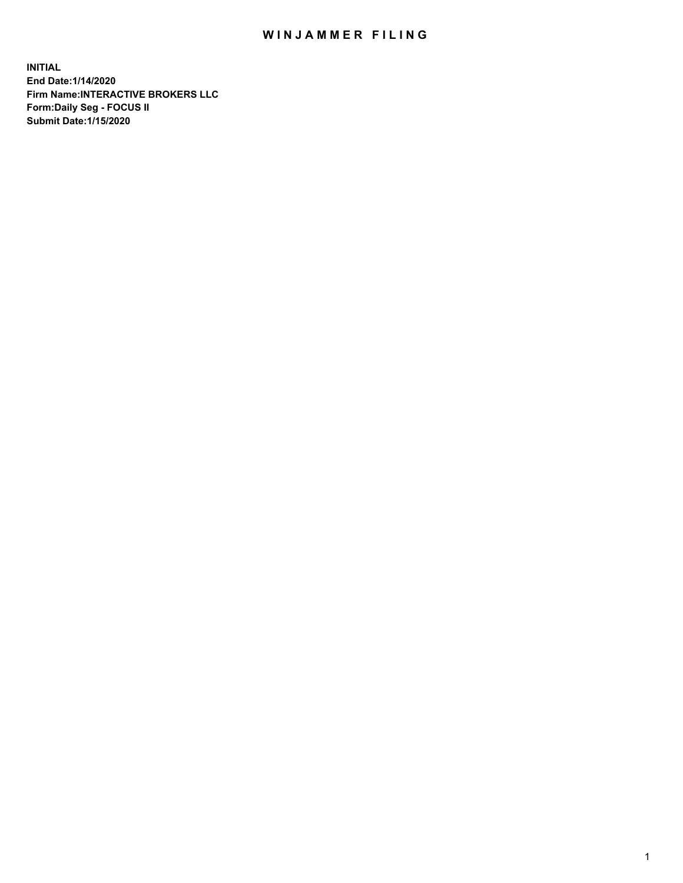## WIN JAMMER FILING

**INITIAL End Date:1/14/2020 Firm Name:INTERACTIVE BROKERS LLC Form:Daily Seg - FOCUS II Submit Date:1/15/2020**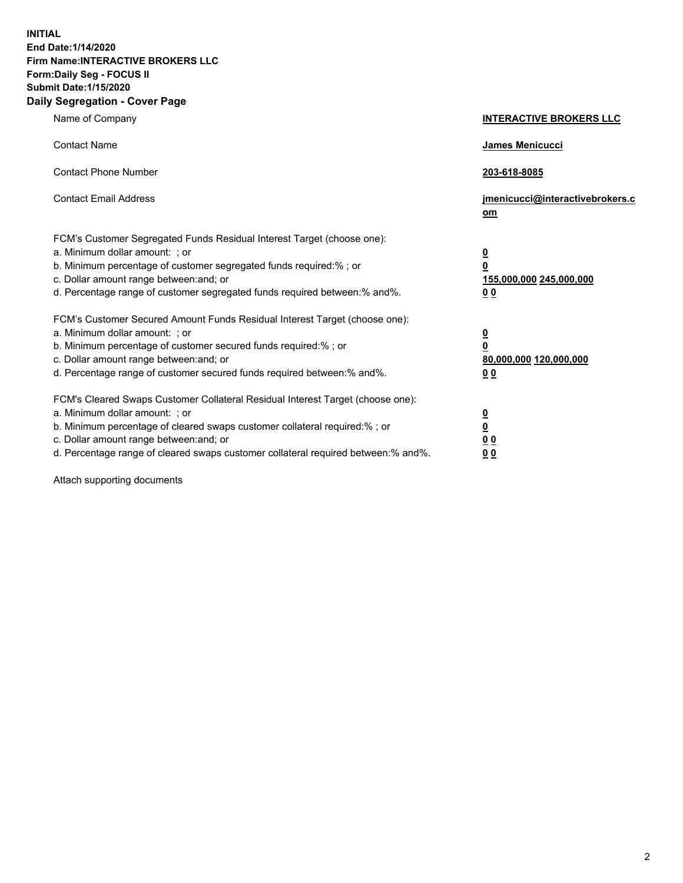**INITIAL End Date:1/14/2020 Firm Name:INTERACTIVE BROKERS LLC Form:Daily Seg - FOCUS II Submit Date:1/15/2020 Daily Segregation - Cover Page**

| Name of Company                                                                                                                                                                                                                                                                                                                 | <b>INTERACTIVE BROKERS LLC</b>                                                   |
|---------------------------------------------------------------------------------------------------------------------------------------------------------------------------------------------------------------------------------------------------------------------------------------------------------------------------------|----------------------------------------------------------------------------------|
| <b>Contact Name</b>                                                                                                                                                                                                                                                                                                             | <b>James Menicucci</b>                                                           |
| <b>Contact Phone Number</b>                                                                                                                                                                                                                                                                                                     | 203-618-8085                                                                     |
| <b>Contact Email Address</b>                                                                                                                                                                                                                                                                                                    | jmenicucci@interactivebrokers.c<br>om                                            |
| FCM's Customer Segregated Funds Residual Interest Target (choose one):<br>a. Minimum dollar amount: ; or<br>b. Minimum percentage of customer segregated funds required:% ; or<br>c. Dollar amount range between: and; or<br>d. Percentage range of customer segregated funds required between:% and%.                          | <u>0</u><br>$\overline{\mathbf{0}}$<br>155,000,000 245,000,000<br>0 <sub>0</sub> |
| FCM's Customer Secured Amount Funds Residual Interest Target (choose one):<br>a. Minimum dollar amount: ; or<br>b. Minimum percentage of customer secured funds required:%; or<br>c. Dollar amount range between: and; or<br>d. Percentage range of customer secured funds required between:% and%.                             | <u>0</u><br>$\overline{\mathbf{0}}$<br>80,000,000 120,000,000<br>0 <sub>0</sub>  |
| FCM's Cleared Swaps Customer Collateral Residual Interest Target (choose one):<br>a. Minimum dollar amount: ; or<br>b. Minimum percentage of cleared swaps customer collateral required:%; or<br>c. Dollar amount range between: and; or<br>d. Percentage range of cleared swaps customer collateral required between: % and %. | <u>0</u><br>$\underline{\mathbf{0}}$<br>0 <sub>0</sub><br>0 <sub>0</sub>         |

Attach supporting documents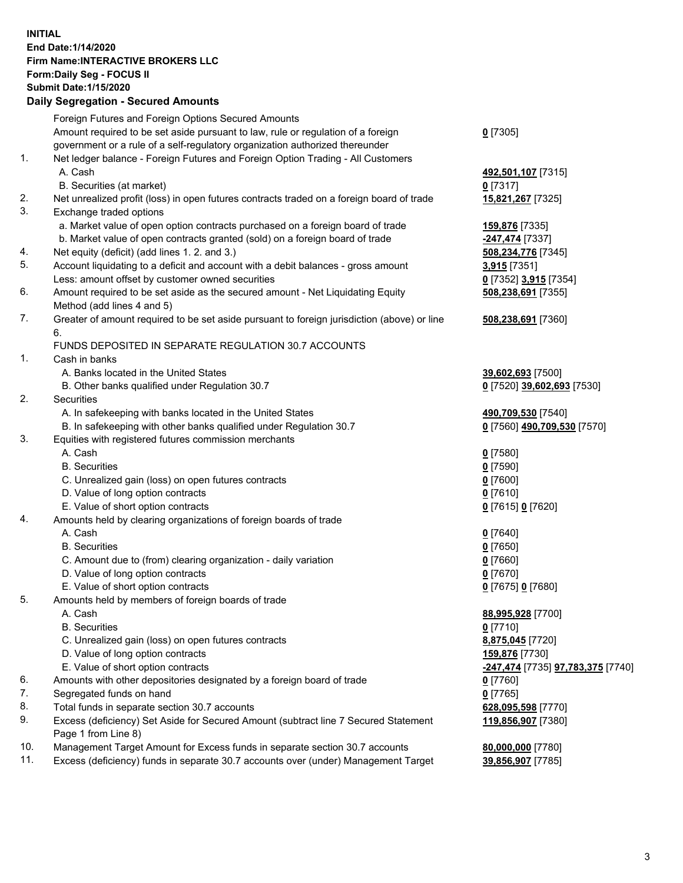## **INITIAL End Date:1/14/2020 Firm Name:INTERACTIVE BROKERS LLC Form:Daily Seg - FOCUS II Submit Date:1/15/2020 Daily Segregation - Secured Amounts**

|     | Dany Ocgregation - Occarea Anioants                                                                        |                                                       |
|-----|------------------------------------------------------------------------------------------------------------|-------------------------------------------------------|
|     | Foreign Futures and Foreign Options Secured Amounts                                                        |                                                       |
|     | Amount required to be set aside pursuant to law, rule or regulation of a foreign                           | $0$ [7305]                                            |
|     | government or a rule of a self-regulatory organization authorized thereunder                               |                                                       |
| 1.  | Net ledger balance - Foreign Futures and Foreign Option Trading - All Customers                            |                                                       |
|     | A. Cash                                                                                                    | 492,501,107 [7315]                                    |
|     | B. Securities (at market)                                                                                  | $0$ [7317]                                            |
| 2.  | Net unrealized profit (loss) in open futures contracts traded on a foreign board of trade                  | 15,821,267 [7325]                                     |
| 3.  | Exchange traded options                                                                                    |                                                       |
|     | a. Market value of open option contracts purchased on a foreign board of trade                             | <b>159,876</b> [7335]                                 |
|     | b. Market value of open contracts granted (sold) on a foreign board of trade                               | -247,474 [7337]                                       |
| 4.  | Net equity (deficit) (add lines 1.2. and 3.)                                                               | 508,234,776 [7345]                                    |
| 5.  | Account liquidating to a deficit and account with a debit balances - gross amount                          | 3,915 [7351]                                          |
|     | Less: amount offset by customer owned securities                                                           | 0 [7352] 3,915 [7354]                                 |
| 6.  | Amount required to be set aside as the secured amount - Net Liquidating Equity                             | 508,238,691 [7355]                                    |
|     | Method (add lines 4 and 5)                                                                                 |                                                       |
| 7.  | Greater of amount required to be set aside pursuant to foreign jurisdiction (above) or line                | 508,238,691 [7360]                                    |
|     | 6.                                                                                                         |                                                       |
|     | FUNDS DEPOSITED IN SEPARATE REGULATION 30.7 ACCOUNTS                                                       |                                                       |
| 1.  | Cash in banks                                                                                              |                                                       |
|     | A. Banks located in the United States                                                                      | 39,602,693 [7500]                                     |
|     | B. Other banks qualified under Regulation 30.7                                                             | 0 [7520] 39,602,693 [7530]                            |
| 2.  | Securities                                                                                                 |                                                       |
|     | A. In safekeeping with banks located in the United States                                                  | 490,709,530 [7540]                                    |
|     | B. In safekeeping with other banks qualified under Regulation 30.7                                         | 0 [7560] 490,709,530 [7570]                           |
| 3.  | Equities with registered futures commission merchants                                                      |                                                       |
|     | A. Cash                                                                                                    | $0$ [7580]                                            |
|     | <b>B.</b> Securities                                                                                       | $0$ [7590]                                            |
|     | C. Unrealized gain (loss) on open futures contracts                                                        | $0$ [7600]                                            |
|     | D. Value of long option contracts                                                                          | $0$ [7610]                                            |
|     | E. Value of short option contracts                                                                         | 0 [7615] 0 [7620]                                     |
| 4.  | Amounts held by clearing organizations of foreign boards of trade                                          |                                                       |
|     | A. Cash                                                                                                    | $0$ [7640]                                            |
|     | <b>B.</b> Securities                                                                                       | $0$ [7650]                                            |
|     | C. Amount due to (from) clearing organization - daily variation                                            | $0$ [7660]                                            |
|     | D. Value of long option contracts                                                                          | $0$ [7670]                                            |
|     | E. Value of short option contracts                                                                         | 0 [7675] 0 [7680]                                     |
| 5.  | Amounts held by members of foreign boards of trade                                                         |                                                       |
|     | A. Cash                                                                                                    | 88,995,928 [7700]                                     |
|     | <b>B.</b> Securities                                                                                       | $0$ [7710]                                            |
|     | C. Unrealized gain (loss) on open futures contracts                                                        | 8,875,045 [7720]                                      |
|     | D. Value of long option contracts                                                                          | 159,876 [7730]                                        |
|     | E. Value of short option contracts                                                                         | <mark>-247,474</mark> [7735] <b>97,783,375</b> [7740] |
| 6.  | Amounts with other depositories designated by a foreign board of trade                                     | $0$ [7760]                                            |
| 7.  | Segregated funds on hand                                                                                   | $0$ [7765]                                            |
| 8.  | Total funds in separate section 30.7 accounts                                                              | 628,095,598 [7770]                                    |
| 9.  | Excess (deficiency) Set Aside for Secured Amount (subtract line 7 Secured Statement<br>Page 1 from Line 8) | 119,856,907 [7380]                                    |
| 10. | Management Target Amount for Excess funds in separate section 30.7 accounts                                | 80,000,000 [7780]                                     |
| 11. | Excess (deficiency) funds in separate 30.7 accounts over (under) Management Target                         | 39,856,907 [7785]                                     |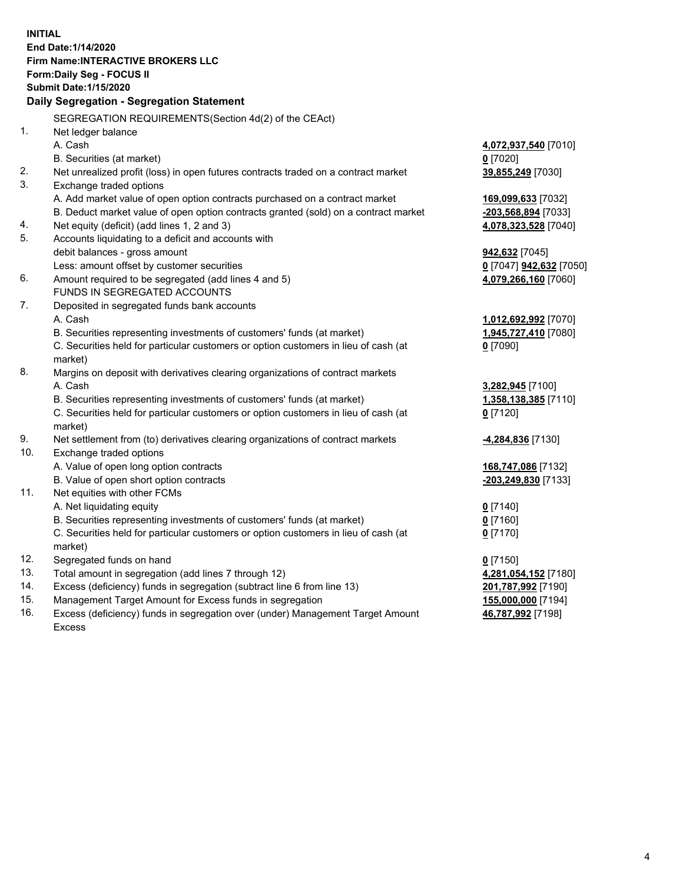**INITIAL End Date:1/14/2020 Firm Name:INTERACTIVE BROKERS LLC Form:Daily Seg - FOCUS II Submit Date:1/15/2020 Daily Segregation - Segregation Statement** SEGREGATION REQUIREMENTS(Section 4d(2) of the CEAct) 1. Net ledger balance A. Cash **4,072,937,540** [7010] B. Securities (at market) **0** [7020] 2. Net unrealized profit (loss) in open futures contracts traded on a contract market **39,855,249** [7030] 3. Exchange traded options A. Add market value of open option contracts purchased on a contract market **169,099,633** [7032] B. Deduct market value of open option contracts granted (sold) on a contract market **-203,568,894** [7033] 4. Net equity (deficit) (add lines 1, 2 and 3) **4,078,323,528** [7040] 5. Accounts liquidating to a deficit and accounts with debit balances - gross amount **942,632** [7045] Less: amount offset by customer securities **0** [7047] **942,632** [7050] 6. Amount required to be segregated (add lines 4 and 5) **4,079,266,160** [7060] FUNDS IN SEGREGATED ACCOUNTS 7. Deposited in segregated funds bank accounts A. Cash **1,012,692,992** [7070] B. Securities representing investments of customers' funds (at market) **1,945,727,410** [7080] C. Securities held for particular customers or option customers in lieu of cash (at market) **0** [7090] 8. Margins on deposit with derivatives clearing organizations of contract markets A. Cash **3,282,945** [7100] B. Securities representing investments of customers' funds (at market) **1,358,138,385** [7110] C. Securities held for particular customers or option customers in lieu of cash (at market) **0** [7120] 9. Net settlement from (to) derivatives clearing organizations of contract markets **-4,284,836** [7130] 10. Exchange traded options A. Value of open long option contracts **168,747,086** [7132] B. Value of open short option contracts **-203,249,830** [7133] 11. Net equities with other FCMs A. Net liquidating equity **0** [7140] B. Securities representing investments of customers' funds (at market) **0** [7160] C. Securities held for particular customers or option customers in lieu of cash (at market) **0** [7170] 12. Segregated funds on hand **0** [7150] 13. Total amount in segregation (add lines 7 through 12) **4,281,054,152** [7180] 14. Excess (deficiency) funds in segregation (subtract line 6 from line 13) **201,787,992** [7190] 15. Management Target Amount for Excess funds in segregation **155,000,000** [7194] 16. Excess (deficiency) funds in segregation over (under) Management Target Amount **46,787,992** [7198]

Excess